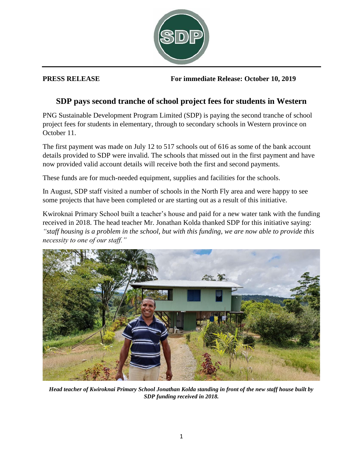

**PRESS RELEASE For immediate Release: October 10, 2019**

## **SDP pays second tranche of school project fees for students in Western**

PNG Sustainable Development Program Limited (SDP) is paying the second tranche of school project fees for students in elementary, through to secondary schools in Western province on October 11.

The first payment was made on July 12 to 517 schools out of 616 as some of the bank account details provided to SDP were invalid. The schools that missed out in the first payment and have now provided valid account details will receive both the first and second payments.

These funds are for much-needed equipment, supplies and facilities for the schools.

In August, SDP staff visited a number of schools in the North Fly area and were happy to see some projects that have been completed or are starting out as a result of this initiative.

Kwiroknai Primary School built a teacher's house and paid for a new water tank with the funding received in 2018. The head teacher Mr. Jonathan Kolda thanked SDP for this initiative saying: *"staff housing is a problem in the school, but with this funding, we are now able to provide this necessity to one of our staff."*



*Head teacher of Kwiroknai Primary School Jonathan Kolda standing in front of the new staff house built by SDP funding received in 2018.*